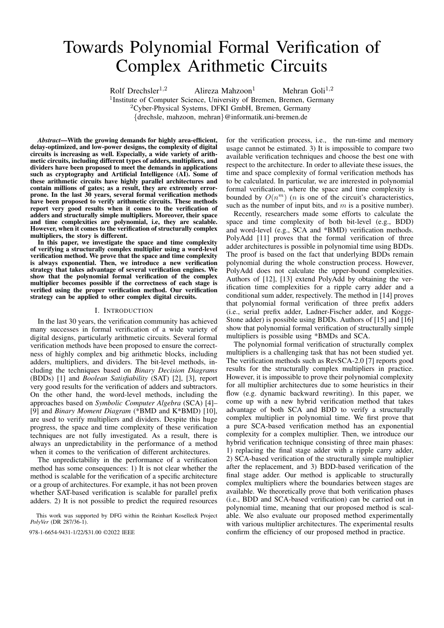# Towards Polynomial Formal Verification of Complex Arithmetic Circuits

Rolf Drechsler<sup>1,2</sup> Alireza Mahzoon<sup>1</sup> Mehran Goli<sup>1,2</sup> <sup>1</sup>Institute of Computer Science, University of Bremen, Bremen, Germany <sup>2</sup>Cyber-Physical Systems, DFKI GmbH, Bremen, Germany {drechsle, mahzoon, mehran}@informatik.uni-bremen.de

*Abstract*—With the growing demands for highly area-efficient, delay-optimized, and low-power designs, the complexity of digital circuits is increasing as well. Especially, a wide variety of arithmetic circuits, including different types of adders, multipliers, and dividers have been proposed to meet the demands in applications such as cryptography and Artificial Intelligence (AI). Some of these arithmetic circuits have highly parallel architectures and contain millions of gates; as a result, they are extremely errorprone. In the last  $3\bar{0}$  vears, several formal verification methods have been proposed to verify arithmetic circuits. These methods report very good results when it comes to the verification of adders and structurally simple multipliers. Moreover, their space and time complexities are polynomial, i.e, they are scalable. However, when it comes to the verification of structurally complex multipliers, the story is different.

In this paper, we investigate the space and time complexity of verifying a structurally complex multiplier using a word-level verification method. We prove that the space and time complexity is always exponential. Then, we introduce a new verification strategy that takes advantage of several verification engines. We show that the polynomial formal verification of the complex multiplier becomes possible if the correctness of each stage is verified using the proper verification method. Our verification strategy can be applied to other complex digital circuits.

#### I. INTRODUCTION

In the last 30 years, the verification community has achieved many successes in formal verification of a wide variety of digital designs, particularly arithmetic circuits. Several formal verification methods have been proposed to ensure the correctness of highly complex and big arithmetic blocks, including adders, multipliers, and dividers. The bit-level methods, including the techniques based on *Binary Decision Diagrams* (BDDs) [1] and *Boolean Satisfiability* (SAT) [2], [3], report very good results for the verification of adders and subtractors. On the other hand, the word-level methods, including the approaches based on *Symbolic Computer Algebra* (SCA) [4]– [9] and *Binary Moment Diagram* (\*BMD and K\*BMD) [10], are used to verify multipliers and dividers. Despite this huge progress, the space and time complexity of these verification techniques are not fully investigated. As a result, there is always an unpredictability in the performance of a method when it comes to the verification of different architectures.

The unpredictability in the performance of a verification method has some consequences: 1) It is not clear whether the method is scalable for the verification of a specific architecture or a group of architectures. For example, it has not been proven whether SAT-based verification is scalable for parallel prefix adders. 2) It is not possible to predict the required resources

for the verification process, i.e., the run-time and memory usage cannot be estimated. 3) It is impossible to compare two available verification techniques and choose the best one with respect to the architecture. In order to alleviate these issues, the time and space complexity of formal verification methods has to be calculated. In particular, we are interested in polynomial formal verification, where the space and time complexity is bounded by  $O(n^m)$  (*n* is one of the circuit's characteristics, such as the number of input bits, and  $m$  is a positive number).

Recently, researchers made some efforts to calculate the space and time complexity of both bit-level (e.g., BDD) and word-level (e.g., SCA and \*BMD) verification methods. PolyAdd [11] proves that the formal verification of three adder architectures is possible in polynomial time using BDDs. The proof is based on the fact that underlying BDDs remain polynomial during the whole construction process. However, PolyAdd does not calculate the upper-bound complexities. Authors of [12], [13] extend PolyAdd by obtaining the verification time complexities for a ripple carry adder and a conditional sum adder, respectively. The method in [14] proves that polynomial formal verification of three prefix adders (i.e., serial prefix adder, Ladner-Fischer adder, and Kogge-Stone adder) is possible using BDDs. Authors of [15] and [16] show that polynomial formal verification of structurally simple multipliers is possible using \*BMDs and SCA.

The polynomial formal verification of structurally complex multipliers is a challenging task that has not been studied yet. The verification methods such as RevSCA-2.0 [7] reports good results for the structurally complex multipliers in practice. However, it is impossible to prove their polynomial complexity for all multiplier architectures due to some heuristics in their flow (e.g. dynamic backward rewriting). In this paper, we come up with a new hybrid verification method that takes advantage of both SCA and BDD to verify a structurally complex multiplier in polynomial time. We first prove that a pure SCA-based verification method has an exponential complexity for a complex multiplier. Then, we introduce our hybrid verification technique consisting of three main phases: 1) replacing the final stage adder with a ripple carry adder, 2) SCA-based verification of the structurally simple multiplier after the replacement, and 3) BDD-based verification of the final stage adder. Our method is applicable to structurally complex multipliers where the boundaries between stages are available. We theoretically prove that both verification phases (i.e., BDD and SCA-based verification) can be carried out in polynomial time, meaning that our proposed method is scalable. We also evaluate our proposed method experimentally with various multiplier architectures. The experimental results 978-1-6654-9431-1/22/\$31.00 ©2022 IEEE confirm the efficiency of our proposed method in practice.

This work was supported by DFG within the Reinhart Koselleck Project *PolyVer* (DR 287/36-1).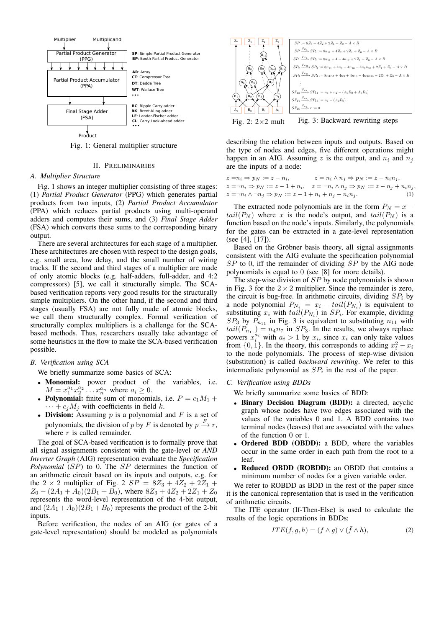

Fig. 1: General multiplier structure

#### II. PRELIMINARIES

# *A. Multiplier Structure*

Fig. 1 shows an integer multiplier consisting of three stages: (1) *Partial Product Generator* (PPG) which generates partial products from two inputs, (2) *Partial Product Accumulator* (PPA) which reduces partial products using multi-operand adders and computes their sums, and (3) *Final Stage Adder* (FSA) which converts these sums to the corresponding binary output.

There are several architectures for each stage of a multiplier. These architectures are chosen with respect to the design goals, e.g. small area, low delay, and the small number of wiring tracks. If the second and third stages of a multiplier are made of only atomic blocks (e.g. half-adders, full-adder, and 4:2 compressors) [5], we call it structurally simple. The SCAbased verification reports very good results for the structurally simple multipliers. On the other hand, if the second and third stages (usually FSA) are not fully made of atomic blocks, we call them structurally complex. Formal verification of structurally complex multipliers is a challenge for the SCAbased methods. Thus, researchers usually take advantage of some heuristics in the flow to make the SCA-based verification possible.

# *B. Verification using SCA*

We briefly summarize some basics of SCA:

- Monomial: power product of the variables, i.e.  $M = x_1^{a_1} x_2^{a_2} \dots x_n^{a_n}$  where  $a_i \ge 0$ .
- Polynomial: finite sum of monomials, i.e.  $P = c_1M_1 +$  $\cdots + c_i M_i$  with coefficients in field k.
- Division: Assuming  $p$  is a polynomial and  $F$  is a set of polynomials, the division of p by F is denoted by  $p \stackrel{F}{\to} r$ , where  $r$  is called remainder.

The goal of SCA-based verification is to formally prove that all signal assignments consistent with the gate-level or *AND Inverter Graph* (AIG) representation evaluate the *Specification Polynomial* (SP) to 0. The SP determines the function of an arithmetic circuit based on its inputs and outputs, e.g. for the  $2 \times 2$  multiplier of Fig.  $2 SP = 8Z_3 + 4Z_2 + 2Z_1 +$  $Z_0 - (2A_1 + A_0)(2B_1 + B_0)$ , where  $8Z_3 + 4Z_2 + 2Z_1 + Z_0$ represents the word-level representation of the 4-bit output, and  $(2A_1 + A_0)(2B_1 + B_0)$  represents the product of the 2-bit inputs.

Before verification, the nodes of an AIG (or gates of a gate-level representation) should be modeled as polynomials



Fig. 2:  $2 \times 2$  mult Fig. 3: Backward rewriting steps

describing the relation between inputs and outputs. Based on the type of nodes and edges, five different operations might happen in an AIG. Assuming z is the output, and  $n_i$  and  $n_j$ are the inputs of a node:

 $z = n_i \Rightarrow p_N := z - n_i,$   $z = n_i \land n_i \Rightarrow p_N := z - n_i n_i,$  $z = \neg n_i \Rightarrow p_N := z - 1 + n_i, \quad z = \neg n_i \wedge n_j \Rightarrow p_N := z - n_j + n_i n_j,$  $z = \neg n_i \land \neg n_j \Rightarrow p_N := z - 1 + n_i + n_j - n_i n_j.$  (1)

The extracted node polynomials are in the form  $P_N = x$  $tail(P_N)$  where x is the node's output, and  $tail(P_N)$  is a function based on the node's inputs. Similarly, the polynomials for the gates can be extracted in a gate-level representation (see [4], [17]).

Based on the Gröbner basis theory, all signal assignments consistent with the AIG evaluate the specification polynomial  $SP$  to 0, iff the remainder of dividing  $SP$  by the AIG node polynomials is equal to 0 (see [8] for more details).

The step-wise division of SP by node polynomials is shown in Fig. 3 for the  $2 \times 2$  multiplier. Since the remainder is zero, the circuit is bug-free. In arithmetic circuits, dividing  $SP_i$  by a node polynomial  $P_{N_i} = x_i - tail(P_{N_i})$  is equivalent to substituting  $x_i$  with  $tail(P_{N_i})$  in  $SP_i$ . For example, dividing  $SP_3$  by  $P_{n_{11}}$  in Fig. 3 is equivalent to substituting  $n_{11}$  with  $tail(P_{n_{11}}) = n_4 n_7$  in  $SP_3$ . In the results, we always replace powers  $x_i^{a_i}$  with  $a_i > 1$  by  $x_i$ , since  $x_i$  can only take values from  $\{0, 1\}$ . In the theory, this corresponds to adding  $x_i^2 - x_i$ to the node polynomials. The process of step-wise division (substitution) is called *backward rewriting*. We refer to this intermediate polynomial as  $SP_i$  in the rest of the paper.

# *C. Verification using BDDs*

We briefly summarize some basics of BDD:

- Binary Decision Diagram (BDD): a directed, acyclic graph whose nodes have two edges associated with the values of the variables 0 and 1. A BDD contains two terminal nodes (leaves) that are associated with the values of the function 0 or 1.
- Ordered BDD (OBDD): a BDD, where the variables occur in the same order in each path from the root to a leaf.
- Reduced OBDD (ROBDD): an OBDD that contains a minimum number of nodes for a given variable order.

We refer to ROBDD as BDD in the rest of the paper since it is the canonical representation that is used in the verification of arithmetic circuits.

The ITE operator (If-Then-Else) is used to calculate the results of the logic operations in BDDs:

$$
ITE(f, g, h) = (f \wedge g) \vee (\bar{f} \wedge h), \tag{2}
$$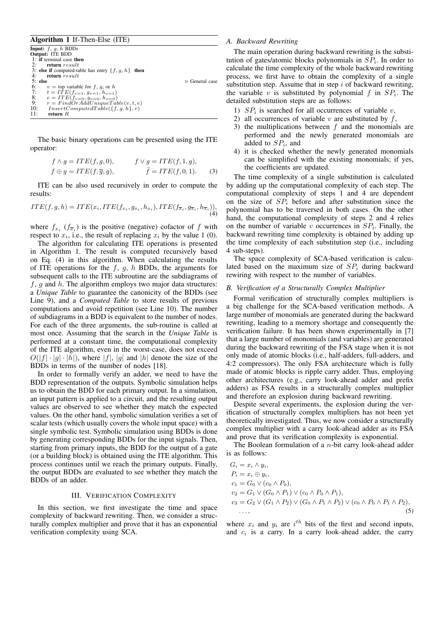Algorithm 1 If-Then-Else (ITE)

Input: f, g, h BDDs<br>Output: ITE BDD 1: if terminal case then<br>2: return  $result$ 3: else if computed-table has entry  $\{f, g, h\}$  then<br>4: return  $result$ 4: return  $result$ <br>5: else 5: **else**<br>
6:  $v = \text{top variable for } f, g, \text{or } h$ <br>
7:  $t = ITE(f_{v=1}, g_{v=1}, h_{v=1})$ <br>
8:  $e = ITE(f_{v=0}, g_{v=0}, h_{v=0})$ <br>
9:  $r = FindOrAddUniquerTable(v, t, e)$ <br>
10: *InsertComputedTable*({f, g, h}, r) 11: return R

The basic binary operations can be presented using the ITE operator:

$$
f \wedge g = ITE(f, g, 0), \qquad f \vee g = ITE(f, 1, g),
$$
  
\n
$$
f \oplus g = ITE(f, \overline{g}, g), \qquad \overline{f} = ITE(f, 0, 1).
$$
 (3)

ITE can be also used recursively in order to compute the results:

$$
ITE(f, g, h) =ITE(x_i,ITE(f_{x_i}, g_{x_i}, h_{x_i}),ITE(f_{\overline{x}_i}, g_{\overline{x}_i}, h_{\overline{x}_i})),
$$
\n(4)

where  $f_{x_i}$  ( $f_{\overline{x}_i}$ ) is the positive (negative) cofactor of f with respect to  $x_i$ , i.e., the result of replacing  $x_i$  by the value 1 (0).

The algorithm for calculating ITE operations is presented in Algorithm 1. The result is computed recursively based on Eq. (4) in this algorithm. When calculating the results of ITE operations for the  $f$ ,  $g$ ,  $h$  BDDs, the arguments for subsequent calls to the ITE subroutine are the subdiagrams of  $f, g$  and  $h$ . The algorithm employs two major data structures: a *Unique Table* to guarantee the canonicity of the BDDs (see Line 9), and a *Computed Table* to store results of previous computations and avoid repetition (see Line 10). The number of subdiagrams in a BDD is equivalent to the number of nodes. For each of the three arguments, the sub-routine is called at most once. Assuming that the search in the *Unique Table* is performed at a constant time, the computational complexity of the ITE algorithm, even in the worst-case, does not exceed  $O(|f| \cdot |g| \cdot |h|)$ , where  $|f|, |g|$  and  $|h|$  denote the size of the BDDs in terms of the number of nodes [18].

In order to formally verify an adder, we need to have the BDD representation of the outputs. Symbolic simulation helps us to obtain the BDD for each primary output. In a simulation, an input pattern is applied to a circuit, and the resulting output values are observed to see whether they match the expected values. On the other hand, symbolic simulation verifies a set of scalar tests (which usually covers the whole input space) with a single symbolic test. Symbolic simulation using BDDs is done by generating corresponding BDDs for the input signals. Then, starting from primary inputs, the BDD for the output of a gate (or a building block) is obtained using the ITE algorithm. This process continues until we reach the primary outputs. Finally, the output BDDs are evaluated to see whether they match the BDDs of an adder.

# III. VERIFICATION COMPLEXITY

In this section, we first investigate the time and space complexity of backward rewriting. Then, we consider a structurally complex multiplier and prove that it has an exponential verification complexity using SCA.

### *A. Backward Rewriting*

The main operation during backward rewriting is the substitution of gates/atomic blocks polynomials in  $SP_i$ . In order to calculate the time complexity of the whole backward rewriting process, we first have to obtain the complexity of a single substitution step. Assume that in step  $i$  of backward rewriting, the variable  $v$  is substituted by polynomial  $f$  in  $SP_i$ . The detailed substitution steps are as follows:

- 1)  $SP_i$  is searched for all occurrences of variable v,
- 2) all occurrences of variable  $v$  are substituted by  $f$ ,
- 3) the multiplications between  $f$  and the monomials are performed and the newly generated monomials are added to  $SP_i$ , and
- 4) it is checked whether the newly generated monomials can be simplified with the existing monomials; if yes, the coefficients are updated.

The time complexity of a single substitution is calculated by adding up the computational complexity of each step. The computational complexity of steps 1 and 4 are dependent on the size of  $SP_i$  before and after substitution since the polynomial has to be traversed in both cases. On the other hand, the computational complexity of steps 2 and 4 relies on the number of variable  $v$  occurrences in  $SP_i$ . Finally, the backward rewriting time complexity is obtained by adding up the time complexity of each substitution step (i.e., including 4 sub-steps).

The space complexity of SCA-based verification is calculated based on the maximum size of  $SP_i$  during backward rewiring with respect to the number of variables.

#### *B. Verification of a Structurally Complex Multiplier*

Formal verification of structurally complex multipliers is a big challenge for the SCA-based verification methods. A large number of monomials are generated during the backward rewriting, leading to a memory shortage and consequently the verification failure. It has been shown experimentally in [7] that a large number of monomials (and variables) are generated during the backward rewriting of the FSA stage when it is not only made of atomic blocks (i.e., half-adders, full-adders, and 4:2 compressors). The only FSA architecture which is fully made of atomic blocks is ripple carry adder. Thus, employing other architectures (e.g., carry look-ahead adder and prefix adders) as FSA results in a structurally complex multiplier and therefore an explosion during backward rewriting.

Despite several experiments, the explosion during the verification of structurally complex multipliers has not been yet theoretically investigated. Thus, we now consider a structurally complex multiplier with a carry look-ahead adder as its FSA and prove that its verification complexity is exponential.

The Boolean formulation of a  $n$ -bit carry look-ahead adder is as follows:

$$
G_i = x_i \wedge y_i,
$$
  
\n
$$
P_i = x_i \oplus y_i,
$$
  
\n
$$
c_1 = G_0 \vee (c_0 \wedge P_0),
$$
  
\n
$$
c_2 = G_1 \vee (G_0 \wedge P_1) \vee (c_0 \wedge P_0 \wedge P_1),
$$
  
\n
$$
c_3 = G_2 \vee (G_1 \wedge P_2) \vee (G_0 \wedge P_1 \wedge P_2) \vee (c_0 \wedge P_0 \wedge P_1 \wedge P_2),
$$
  
\n... (5)

where  $x_i$  and  $y_i$  are  $i^{th}$  bits of the first and second inputs, and  $c_i$  is a carry. In a carry look-ahead adder, the carry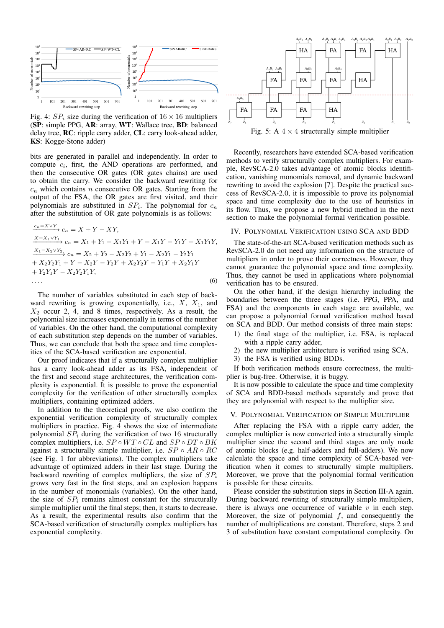

Fig. 4:  $SP_i$  size during the verification of  $16 \times 16$  multipliers (SP: simple PPG, AR: array, WT: Wallace tree, BD: balanced delay tree, RC: ripple carry adder, CL: carry look-ahead adder, KS: Kogge-Stone adder)

bits are generated in parallel and independently. In order to compute  $c_i$ , first, the AND operations are performed, and then the consecutive OR gates (OR gates chains) are used to obtain the carry. We consider the backward rewriting for  $c_n$  which contains n consecutive OR gates. Starting from the output of the FSA, the OR gates are first visited, and their polynomials are substituted in  $SP_i$ . The polynomial for  $c_n$ after the substitution of OR gate polynomials is as follows:

$$
\frac{c_n = X \vee Y}{x = X_1 \vee Y_1} c_n = X + Y - XY,
$$
  
\n
$$
\frac{X = X_1 \vee Y_1}{x_n} c_n = X_1 + Y_1 - X_1 Y_1 + Y - X_1 Y - Y_1 Y + X_1 Y_1 Y,
$$
  
\n
$$
\frac{X_1 = X_2 \vee Y_2}{x_n} c_n = X_2 + Y_2 - X_2 Y_2 + Y_1 - X_2 Y_1 - Y_2 Y_1
$$
  
\n
$$
+ X_2 Y_2 Y_1 + Y - X_2 Y - Y_2 Y + X_2 Y_2 Y - Y_1 Y + X_2 Y_1 Y
$$
  
\n
$$
+ Y_2 Y_1 Y - X_2 Y_2 Y_1 Y,
$$
  
\n(6)

The number of variables substituted in each step of backward rewriting is growing exponentially, i.e.,  $X$ ,  $X_1$ , and  $X_2$  occur 2, 4, and 8 times, respectively. As a result, the polynomial size increases exponentially in terms of the number of variables. On the other hand, the computational complexity of each substitution step depends on the number of variables. Thus, we can conclude that both the space and time complexities of the SCA-based verification are exponential.

Our proof indicates that if a structurally complex multiplier has a carry look-ahead adder as its FSA, independent of the first and second stage architectures, the verification complexity is exponential. It is possible to prove the exponential complexity for the verification of other structurally complex multipliers, containing optimized adders.

In addition to the theoretical proofs, we also confirm the exponential verification complexity of structurally complex multipliers in practice. Fig. 4 shows the size of intermediate polynomial  $SP_i$  during the verification of two 16 structurally complex multipliers, i.e.  $SP \circ WT \circ CL$  and  $SP \circ DT \circ BK$ against a structurally simple multiplier, i.e.  $SP \circ AR \circ RC$ (see Fig. 1 for abbreviations). The complex multipliers take advantage of optimized adders in their last stage. During the backward rewriting of complex multipliers, the size of  $SP_i$ grows very fast in the first steps, and an explosion happens in the number of monomials (variables). On the other hand, the size of  $SP_i$  remains almost constant for the structurally simple multiplier until the final steps; then, it starts to decrease. As a result, the experimental results also confirm that the SCA-based verification of structurally complex multipliers has exponential complexity.



Fig. 5: A  $4 \times 4$  structurally simple multiplier

Recently, researchers have extended SCA-based verification methods to verify structurally complex multipliers. For example, RevSCA-2.0 takes advantage of atomic blocks identification, vanishing monomials removal, and dynamic backward rewriting to avoid the explosion [7]. Despite the practical success of RevSCA-2.0, it is impossible to prove its polynomial space and time complexity due to the use of heuristics in its flow. Thus, we propose a new hybrid method in the next section to make the polynomial formal verification possible.

# IV. POLYNOMIAL VERIFICATION USING SCA AND BDD

The state-of-the-art SCA-based verification methods such as RevSCA-2.0 do not need any information on the structure of multipliers in order to prove their correctness. However, they cannot guarantee the polynomial space and time complexity. Thus, they cannot be used in applications where polynomial verification has to be ensured.

On the other hand, if the design hierarchy including the boundaries between the three stages (i.e. PPG, PPA, and FSA) and the components in each stage are available, we can propose a polynomial formal verification method based on SCA and BDD. Our method consists of three main steps:

- 1) the final stage of the multiplier, i.e. FSA, is replaced with a ripple carry adder,
- 2) the new multiplier architecture is verified using SCA,
- 3) the FSA is verified using BDDs.

If both verification methods ensure correctness, the multiplier is bug-free. Otherwise, it is buggy.

It is now possible to calculate the space and time complexity of SCA and BDD-based methods separately and prove that they are polynomial with respect to the multiplier size.

# V. POLYNOMIAL VERIFICATION OF SIMPLE MULTIPLIER

After replacing the FSA with a ripple carry adder, the complex multiplier is now converted into a structurally simple multiplier since the second and third stages are only made of atomic blocks (e.g. half-adders and full-adders). We now calculate the space and time complexity of SCA-based verification when it comes to structurally simple multipliers. Moreover, we prove that the polynomial formal verification is possible for these circuits.

Please consider the substitution steps in Section III-A again. During backward rewriting of structurally simple multipliers, there is always one occurrence of variable  $v$  in each step. Moreover, the size of polynomial  $f$ , and consequently the number of multiplications are constant. Therefore, steps 2 and 3 of substitution have constant computational complexity. On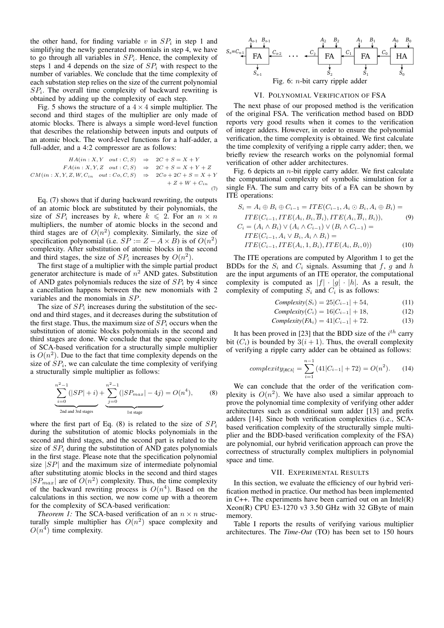the other hand, for finding variable  $v$  in  $SP_i$  in step 1 and simplifying the newly generated monomials in step 4, we have to go through all variables in  $SP_i$ . Hence, the complexity of steps 1 and 4 depends on the size of  $SP<sub>i</sub>$  with respect to the number of variables. We conclude that the time complexity of each substation step relies on the size of the current polynomial  $SP<sub>i</sub>$ . The overall time complexity of backward rewriting is obtained by adding up the complexity of each step.

Fig. 5 shows the structure of a  $4 \times 4$  simple multiplier. The second and third stages of the multiplier are only made of atomic blocks. There is always a simple word-level function that describes the relationship between inputs and outputs of an atomic block. The word-level functions for a half-adder, a full-adder, and a 4:2 compressor are as follows:

$$
HA(in : X, Y \quad out : C, S) \Rightarrow 2C + S = X + Y
$$
  
\n
$$
FA(in : X, Y, Z \quad out : C, S) \Rightarrow 2C + S = X + Y + Z
$$
  
\n
$$
CM(in : X, Y, Z, W, C_{in} \quad out : Co, C, S) \Rightarrow 2Co + 2C + S = X + Y
$$
  
\n
$$
+ Z + W + C_{in} \tag{7}
$$

Eq. (7) shows that if during backward rewriting, the outputs of an atomic block are substituted by their polynomials, the size of  $SP_i$  increases by k, where  $k \leq 2$ . For an  $n \times n$ multipliers, the number of atomic blocks in the second and third stages are of  $O(n^2)$  complexity. Similarly, the size of specification polynomial (i.e.  $SP := Z - A \times B$ ) is of  $O(n^2)$ complexity. After substitution of atomic blocks in the second and third stages, the size of  $SP_i$  increases by  $O(n^2)$ .

The first stage of a multiplier with the simple partial product generator architecture is made of  $n^2$  AND gates. Substitution of AND gates polynomials reduces the size of  $SP_i$  by 4 since a cancellation happens between the new monomials with 2 variables and the monomials in SP.

The size of  $SP_i$  increases during the substitution of the second and third stages, and it decreases during the substitution of the first stage. Thus, the maximum size of  $SP_i$  occurs when the substitution of atomic blocks polynomials in the second and third stages are done. We conclude that the space complexity of SCA-based verification for a structurally simple multiplier is  $O(n^2)$ . Due to the fact that time complexity depends on the size of  $SP_i$ , we can calculate the time complexity of verifying a structurally simple multiplier as follows:

$$
\sum_{i=0}^{n^{2}-1} (|SP|+i) + \sum_{j=0}^{n^{2}-1} (|SP_{max}| - 4j) = O(n^{4}),
$$
 (8)  
2nd and 3rd stages

where the first part of Eq. (8) is related to the size of  $SP_i$ during the substitution of atomic blocks polynomials in the second and third stages, and the second part is related to the size of  $SP_i$  during the substitution of AND gates polynomials in the first stage. Please note that the specification polynomial size  $|SP|$  and the maximum size of intermediate polynomial after substituting atomic blocks in the second and third stages  $|SP_{max}|$  are of  $O(n^2)$  complexity. Thus, the time complexity of the backward rewriting process is  $O(n^4)$ . Based on the calculations in this section, we now come up with a theorem for the complexity of SCA-based verification:

*Theorem 1:* The SCA-based verification of an  $n \times n$  structurally simple multiplier has  $O(n^2)$  space complexity and  $O(n^4)$  time complexity.



# VI. POLYNOMIAL VERIFICATION OF FSA

The next phase of our proposed method is the verification of the original FSA. The verification method based on BDD reports very good results when it comes to the verification of integer adders. However, in order to ensure the polynomial verification, the time complexity is obtained. We first calculate the time complexity of verifying a ripple carry adder; then, we briefly review the research works on the polynomial formal verification of other adder architectures.

Fig. 6 depicts an  $n$ -bit ripple carry adder. We first calculate the computational complexity of symbolic simulation for a single FA. The sum and carry bits of a FA can be shown by ITE operations:

$$
S_i = A_i \oplus B_i \oplus C_{i-1} = ITE(C_{i-1}, A_i \odot B_i, A_i \oplus B_i) =
$$
  
\n
$$
ITE(C_{i-1}, ITE(A_i, B_i, \overline{B}_i), ITE(A_i, \overline{B}_i, B_i)),
$$
  
\n
$$
C_i = (A_i \wedge B_i) \vee (A_i \wedge C_{i-1}) \vee (B_i \wedge C_{i-1}) =
$$
  
\n
$$
ITE(C_{i-1}, A_i \vee B_i, A_i \wedge B_i) =
$$
  
\n
$$
ITE(C_{i-1}, ITE(A_i, 1, B_i), ITE(A_i, B_i, 0))
$$
  
\n(10)

The ITE operations are computed by Algorithm 1 to get the BDDs for the  $S_i$  and  $C_i$  signals. Assuming that f, g and h are the input arguments of an ITE operator, the computational complexity is computed as  $|f| \cdot |g| \cdot |h|$ . As a result, the complexity of computing  $S_i$  and  $C_i$  is as follows:

$$
Complexity(S_i) = 25|C_{i-1}| + 54,
$$
\n(11)

$$
Complexity(C_i) = 16|C_{i-1}| + 18,
$$
\n(12)

$$
Complexity(FAi) = 41|Ci-1| + 72.
$$
 (13)

It has been proved in [23] that the BDD size of the  $i<sup>th</sup>$  carry bit  $(C_i)$  is bounded by  $3(i + 1)$ . Thus, the overall complexity of verifying a ripple carry adder can be obtained as follows:

complexity<sub>[RCA]</sub> = 
$$
\sum_{i=1}^{n-1} (41|C_{i-1}| + 72) = O(n^2).
$$
 (14)

We can conclude that the order of the verification complexity is  $O(n^2)$ . We have also used a similar approach to prove the polynomial time complexity of verifying other adder architectures such as conditional sum adder [13] and prefix adders [14]. Since both verification complexities (i.e., SCAbased verification complexity of the structurally simple multiplier and the BDD-based verification complexity of the FSA) are polynomial, our hybrid verification approach can prove the correctness of structurally complex multipliers in polynomial space and time.

#### VII. EXPERIMENTAL RESULTS

In this section, we evaluate the efficiency of our hybrid verification method in practice. Our method has been implemented in  $C_{++}$ . The experiments have been carried out on an Intel $(R)$ Xeon(R) CPU E3-1270 v3 3.50 GHz with 32 GByte of main memory.

Table I reports the results of verifying various multiplier architectures. The *Time-Out* (TO) has been set to 150 hours